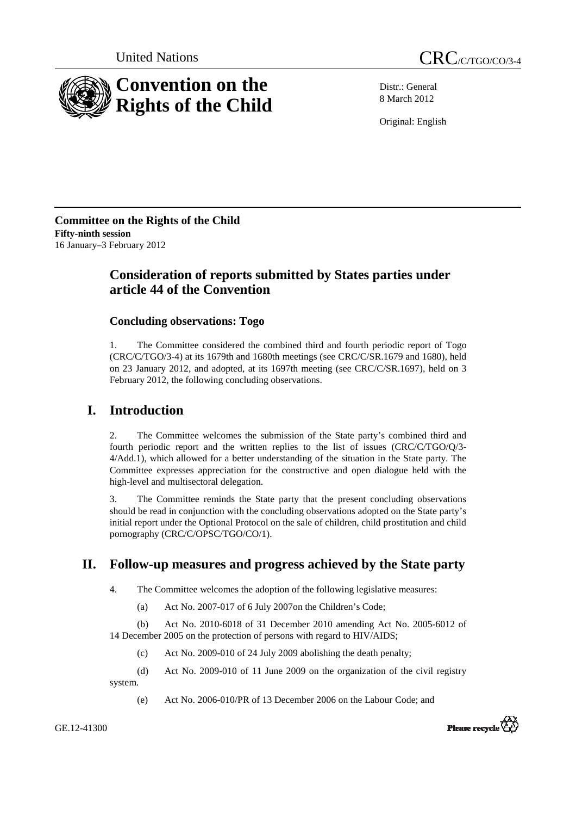



Distr.: General 8 March 2012

Original: English

**Committee on the Rights of the Child Fifty-ninth session**  16 January–3 February 2012

# **Consideration of reports submitted by States parties under article 44 of the Convention**

# **Concluding observations: Togo**

1. The Committee considered the combined third and fourth periodic report of Togo (CRC/C/TGO/3-4) at its 1679th and 1680th meetings (see CRC/C/SR.1679 and 1680), held on 23 January 2012, and adopted, at its 1697th meeting (see CRC/C/SR.1697), held on 3 February 2012, the following concluding observations.

# **I. Introduction**

2. The Committee welcomes the submission of the State party's combined third and fourth periodic report and the written replies to the list of issues (CRC/C/TGO/Q/3- 4/Add.1), which allowed for a better understanding of the situation in the State party. The Committee expresses appreciation for the constructive and open dialogue held with the high-level and multisectoral delegation.

3. The Committee reminds the State party that the present concluding observations should be read in conjunction with the concluding observations adopted on the State party's initial report under the Optional Protocol on the sale of children, child prostitution and child pornography (CRC/C/OPSC/TGO/CO/1).

# **II. Follow-up measures and progress achieved by the State party**

4. The Committee welcomes the adoption of the following legislative measures:

(a) Act No. 2007-017 of 6 July 2007on the Children's Code;

(b) Act No. 2010-6018 of 31 December 2010 amending Act No. 2005-6012 of 14 December 2005 on the protection of persons with regard to HIV/AIDS;

(c) Act No. 2009-010 of 24 July 2009 abolishing the death penalty;

(d) Act No. 2009-010 of 11 June 2009 on the organization of the civil registry system.

(e) Act No. 2006-010/PR of 13 December 2006 on the Labour Code; and



GE.12-41300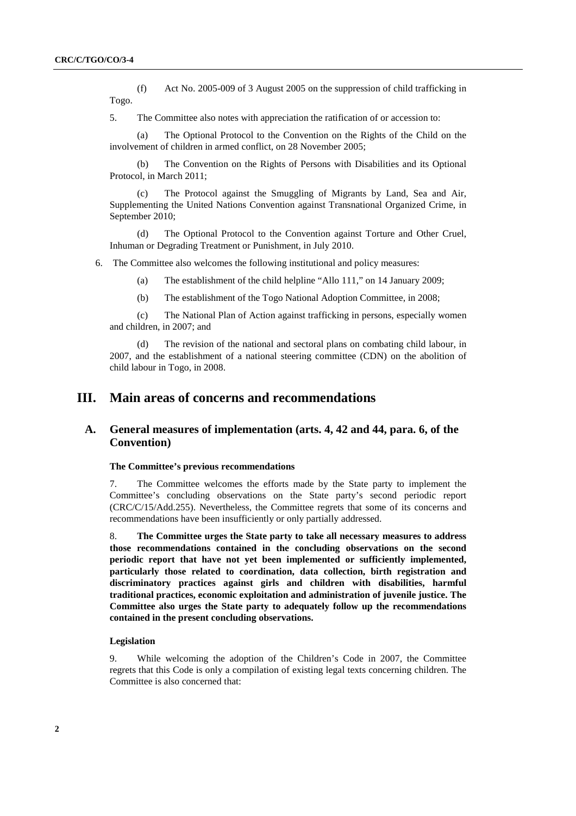(f) Act No. 2005-009 of 3 August 2005 on the suppression of child trafficking in Togo.

5. The Committee also notes with appreciation the ratification of or accession to:

(a) The Optional Protocol to the Convention on the Rights of the Child on the involvement of children in armed conflict, on 28 November 2005;

(b) The Convention on the Rights of Persons with Disabilities and its Optional Protocol, in March 2011;

The Protocol against the Smuggling of Migrants by Land, Sea and Air, Supplementing the United Nations Convention against Transnational Organized Crime, in September 2010;

(d) The Optional Protocol to the Convention against Torture and Other Cruel, Inhuman or Degrading Treatment or Punishment, in July 2010.

6. The Committee also welcomes the following institutional and policy measures:

(a) The establishment of the child helpline "Allo 111," on 14 January 2009;

(b) The establishment of the Togo National Adoption Committee, in 2008;

(c) The National Plan of Action against trafficking in persons, especially women and children, in 2007; and

(d) The revision of the national and sectoral plans on combating child labour, in 2007, and the establishment of a national steering committee (CDN) on the abolition of child labour in Togo, in 2008.

# **III. Main areas of concerns and recommendations**

# **A. General measures of implementation (arts. 4, 42 and 44, para. 6, of the Convention)**

## **The Committee's previous recommendations**

7. The Committee welcomes the efforts made by the State party to implement the Committee's concluding observations on the State party's second periodic report (CRC/C/15/Add.255). Nevertheless, the Committee regrets that some of its concerns and recommendations have been insufficiently or only partially addressed.

8. **The Committee urges the State party to take all necessary measures to address those recommendations contained in the concluding observations on the second periodic report that have not yet been implemented or sufficiently implemented, particularly those related to coordination, data collection, birth registration and discriminatory practices against girls and children with disabilities, harmful traditional practices, economic exploitation and administration of juvenile justice. The Committee also urges the State party to adequately follow up the recommendations contained in the present concluding observations.** 

## **Legislation**

9. While welcoming the adoption of the Children's Code in 2007, the Committee regrets that this Code is only a compilation of existing legal texts concerning children. The Committee is also concerned that: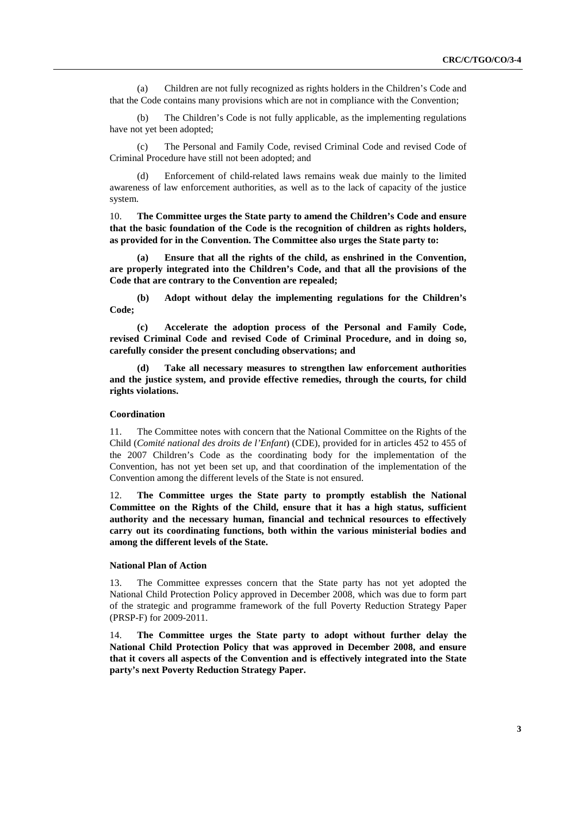(a) Children are not fully recognized as rights holders in the Children's Code and that the Code contains many provisions which are not in compliance with the Convention;

The Children's Code is not fully applicable, as the implementing regulations have not yet been adopted;

(c) The Personal and Family Code, revised Criminal Code and revised Code of Criminal Procedure have still not been adopted; and

(d) Enforcement of child-related laws remains weak due mainly to the limited awareness of law enforcement authorities, as well as to the lack of capacity of the justice system.

10. **The Committee urges the State party to amend the Children's Code and ensure that the basic foundation of the Code is the recognition of children as rights holders, as provided for in the Convention. The Committee also urges the State party to:** 

**(a) Ensure that all the rights of the child, as enshrined in the Convention, are properly integrated into the Children's Code, and that all the provisions of the Code that are contrary to the Convention are repealed;** 

**(b) Adopt without delay the implementing regulations for the Children's Code;** 

**(c) Accelerate the adoption process of the Personal and Family Code, revised Criminal Code and revised Code of Criminal Procedure, and in doing so, carefully consider the present concluding observations; and** 

Take all necessary measures to strengthen law enforcement authorities **and the justice system, and provide effective remedies, through the courts, for child rights violations.** 

### **Coordination**

11. The Committee notes with concern that the National Committee on the Rights of the Child (*Comité national des droits de l'Enfant*) (CDE), provided for in articles 452 to 455 of the 2007 Children's Code as the coordinating body for the implementation of the Convention, has not yet been set up, and that coordination of the implementation of the Convention among the different levels of the State is not ensured.

12. **The Committee urges the State party to promptly establish the National Committee on the Rights of the Child, ensure that it has a high status, sufficient authority and the necessary human, financial and technical resources to effectively carry out its coordinating functions, both within the various ministerial bodies and among the different levels of the State.** 

## **National Plan of Action**

13. The Committee expresses concern that the State party has not yet adopted the National Child Protection Policy approved in December 2008, which was due to form part of the strategic and programme framework of the full Poverty Reduction Strategy Paper (PRSP-F) for 2009-2011.

14. **The Committee urges the State party to adopt without further delay the National Child Protection Policy that was approved in December 2008, and ensure that it covers all aspects of the Convention and is effectively integrated into the State party's next Poverty Reduction Strategy Paper.**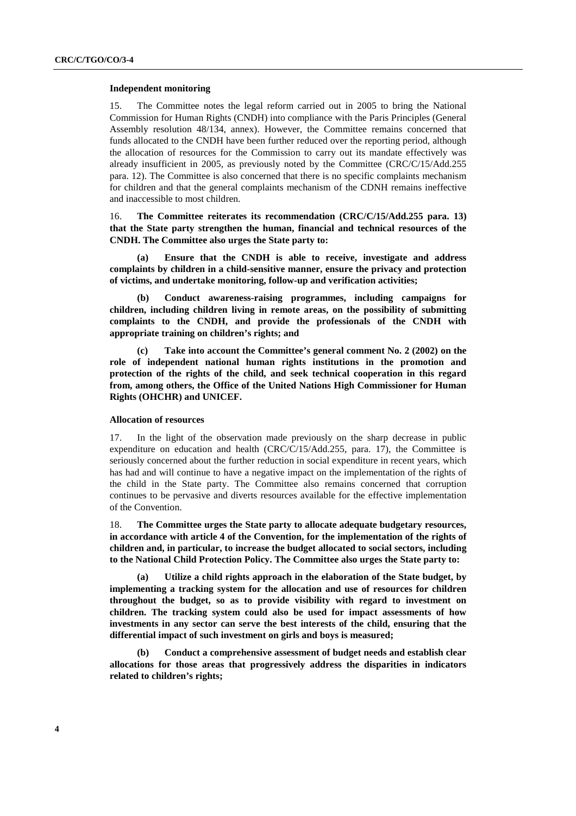#### **Independent monitoring**

15. The Committee notes the legal reform carried out in 2005 to bring the National Commission for Human Rights (CNDH) into compliance with the Paris Principles (General Assembly resolution 48/134, annex). However, the Committee remains concerned that funds allocated to the CNDH have been further reduced over the reporting period, although the allocation of resources for the Commission to carry out its mandate effectively was already insufficient in 2005, as previously noted by the Committee (CRC/C/15/Add.255 para. 12). The Committee is also concerned that there is no specific complaints mechanism for children and that the general complaints mechanism of the CDNH remains ineffective and inaccessible to most children.

16. **The Committee reiterates its recommendation (CRC/C/15/Add.255 para. 13) that the State party strengthen the human, financial and technical resources of the CNDH. The Committee also urges the State party to:** 

**(a) Ensure that the CNDH is able to receive, investigate and address complaints by children in a child-sensitive manner, ensure the privacy and protection of victims, and undertake monitoring, follow-up and verification activities;** 

**(b) Conduct awareness-raising programmes, including campaigns for children, including children living in remote areas, on the possibility of submitting complaints to the CNDH, and provide the professionals of the CNDH with appropriate training on children's rights; and** 

**(c) Take into account the Committee's general comment No. 2 (2002) on the role of independent national human rights institutions in the promotion and protection of the rights of the child, and seek technical cooperation in this regard from, among others, the Office of the United Nations High Commissioner for Human Rights (OHCHR) and UNICEF.** 

## **Allocation of resources**

17. In the light of the observation made previously on the sharp decrease in public expenditure on education and health (CRC/C/15/Add.255, para. 17), the Committee is seriously concerned about the further reduction in social expenditure in recent years, which has had and will continue to have a negative impact on the implementation of the rights of the child in the State party. The Committee also remains concerned that corruption continues to be pervasive and diverts resources available for the effective implementation of the Convention.

18. **The Committee urges the State party to allocate adequate budgetary resources, in accordance with article 4 of the Convention, for the implementation of the rights of children and, in particular, to increase the budget allocated to social sectors, including to the National Child Protection Policy. The Committee also urges the State party to:**

**(a) Utilize a child rights approach in the elaboration of the State budget, by implementing a tracking system for the allocation and use of resources for children throughout the budget, so as to provide visibility with regard to investment on children. The tracking system could also be used for impact assessments of how investments in any sector can serve the best interests of the child, ensuring that the differential impact of such investment on girls and boys is measured;** 

**(b) Conduct a comprehensive assessment of budget needs and establish clear allocations for those areas that progressively address the disparities in indicators related to children's rights;**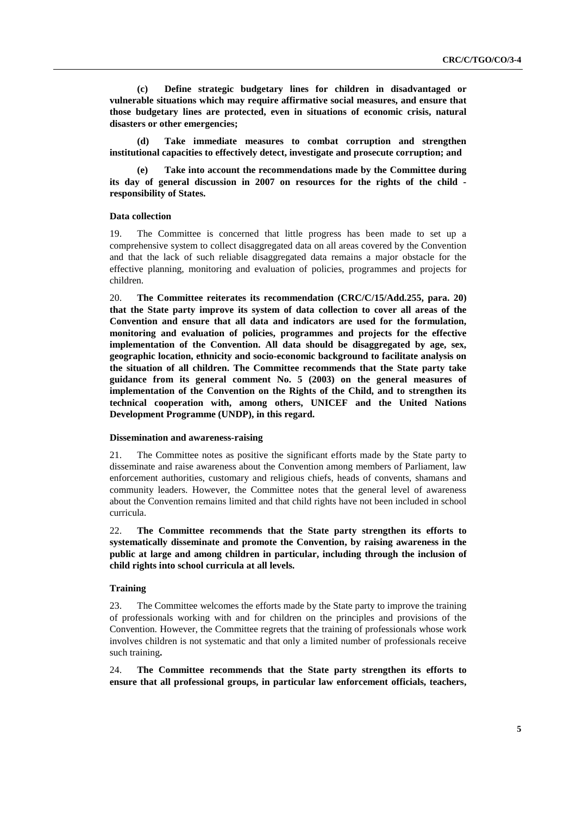**(c) Define strategic budgetary lines for children in disadvantaged or vulnerable situations which may require affirmative social measures, and ensure that those budgetary lines are protected, even in situations of economic crisis, natural disasters or other emergencies;** 

**(d) Take immediate measures to combat corruption and strengthen institutional capacities to effectively detect, investigate and prosecute corruption; and** 

Take into account the recommendations made by the Committee during **its day of general discussion in 2007 on resources for the rights of the child responsibility of States.** 

## **Data collection**

19. The Committee is concerned that little progress has been made to set up a comprehensive system to collect disaggregated data on all areas covered by the Convention and that the lack of such reliable disaggregated data remains a major obstacle for the effective planning, monitoring and evaluation of policies, programmes and projects for children.

20. **The Committee reiterates its recommendation (CRC/C/15/Add.255, para. 20) that the State party improve its system of data collection to cover all areas of the Convention and ensure that all data and indicators are used for the formulation, monitoring and evaluation of policies, programmes and projects for the effective implementation of the Convention. All data should be disaggregated by age, sex, geographic location, ethnicity and socio-economic background to facilitate analysis on the situation of all children. The Committee recommends that the State party take guidance from its general comment No. 5 (2003) on the general measures of implementation of the Convention on the Rights of the Child, and to strengthen its technical cooperation with, among others, UNICEF and the United Nations Development Programme (UNDP), in this regard.** 

#### **Dissemination and awareness-raising**

21. The Committee notes as positive the significant efforts made by the State party to disseminate and raise awareness about the Convention among members of Parliament, law enforcement authorities, customary and religious chiefs, heads of convents, shamans and community leaders. However, the Committee notes that the general level of awareness about the Convention remains limited and that child rights have not been included in school curricula.

22. **The Committee recommends that the State party strengthen its efforts to systematically disseminate and promote the Convention, by raising awareness in the public at large and among children in particular, including through the inclusion of child rights into school curricula at all levels.** 

## **Training**

23. The Committee welcomes the efforts made by the State party to improve the training of professionals working with and for children on the principles and provisions of the Convention. However, the Committee regrets that the training of professionals whose work involves children is not systematic and that only a limited number of professionals receive such training**.** 

24. **The Committee recommends that the State party strengthen its efforts to ensure that all professional groups, in particular law enforcement officials, teachers,**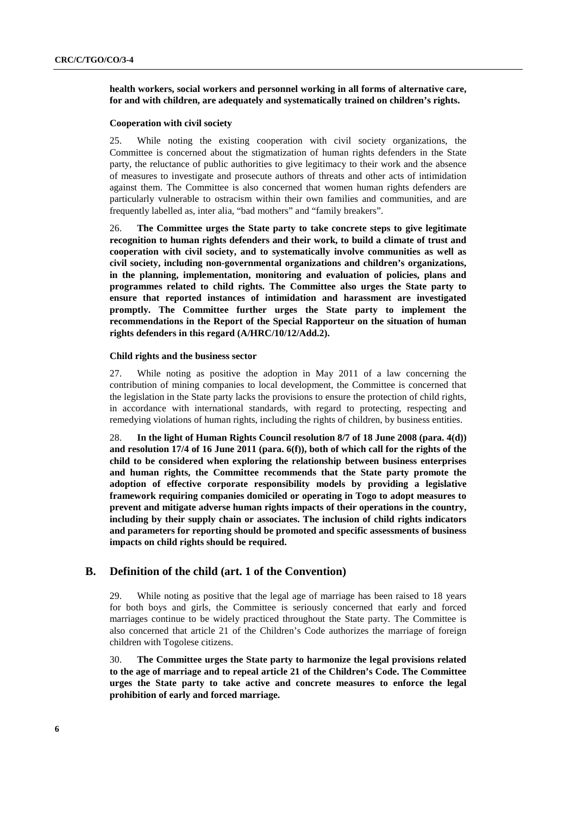## **health workers, social workers and personnel working in all forms of alternative care, for and with children, are adequately and systematically trained on children's rights.**

## **Cooperation with civil society**

25. While noting the existing cooperation with civil society organizations, the Committee is concerned about the stigmatization of human rights defenders in the State party, the reluctance of public authorities to give legitimacy to their work and the absence of measures to investigate and prosecute authors of threats and other acts of intimidation against them. The Committee is also concerned that women human rights defenders are particularly vulnerable to ostracism within their own families and communities, and are frequently labelled as, inter alia, "bad mothers" and "family breakers".

26. **The Committee urges the State party to take concrete steps to give legitimate recognition to human rights defenders and their work, to build a climate of trust and cooperation with civil society, and to systematically involve communities as well as civil society, including non-governmental organizations and children's organizations, in the planning, implementation, monitoring and evaluation of policies, plans and programmes related to child rights. The Committee also urges the State party to ensure that reported instances of intimidation and harassment are investigated promptly. The Committee further urges the State party to implement the recommendations in the Report of the Special Rapporteur on the situation of human rights defenders in this regard (A/HRC/10/12/Add.2).** 

### **Child rights and the business sector**

27. While noting as positive the adoption in May 2011 of a law concerning the contribution of mining companies to local development, the Committee is concerned that the legislation in the State party lacks the provisions to ensure the protection of child rights, in accordance with international standards, with regard to protecting, respecting and remedying violations of human rights, including the rights of children, by business entities.

28. **In the light of Human Rights Council resolution 8/7 of 18 June 2008 (para. 4(d)) and resolution 17/4 of 16 June 2011 (para. 6(f)), both of which call for the rights of the child to be considered when exploring the relationship between business enterprises and human rights, the Committee recommends that the State party promote the adoption of effective corporate responsibility models by providing a legislative framework requiring companies domiciled or operating in Togo to adopt measures to prevent and mitigate adverse human rights impacts of their operations in the country, including by their supply chain or associates. The inclusion of child rights indicators and parameters for reporting should be promoted and specific assessments of business impacts on child rights should be required.**

# **B. Definition of the child (art. 1 of the Convention)**

29. While noting as positive that the legal age of marriage has been raised to 18 years for both boys and girls, the Committee is seriously concerned that early and forced marriages continue to be widely practiced throughout the State party. The Committee is also concerned that article 21 of the Children's Code authorizes the marriage of foreign children with Togolese citizens.

30. **The Committee urges the State party to harmonize the legal provisions related to the age of marriage and to repeal article 21 of the Children's Code. The Committee urges the State party to take active and concrete measures to enforce the legal prohibition of early and forced marriage.**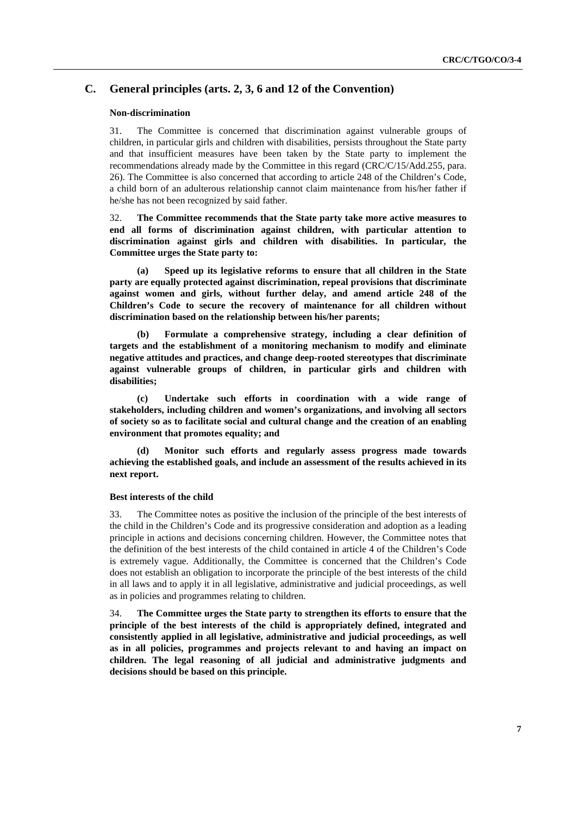# **C. General principles (arts. 2, 3, 6 and 12 of the Convention)**

#### **Non-discrimination**

31. The Committee is concerned that discrimination against vulnerable groups of children, in particular girls and children with disabilities, persists throughout the State party and that insufficient measures have been taken by the State party to implement the recommendations already made by the Committee in this regard (CRC/C/15/Add.255, para. 26). The Committee is also concerned that according to article 248 of the Children's Code, a child born of an adulterous relationship cannot claim maintenance from his/her father if he/she has not been recognized by said father.

32. **The Committee recommends that the State party take more active measures to end all forms of discrimination against children, with particular attention to discrimination against girls and children with disabilities. In particular, the Committee urges the State party to:** 

**(a) Speed up its legislative reforms to ensure that all children in the State party are equally protected against discrimination, repeal provisions that discriminate against women and girls, without further delay, and amend article 248 of the Children's Code to secure the recovery of maintenance for all children without discrimination based on the relationship between his/her parents;** 

**(b) Formulate a comprehensive strategy, including a clear definition of targets and the establishment of a monitoring mechanism to modify and eliminate negative attitudes and practices, and change deep-rooted stereotypes that discriminate against vulnerable groups of children, in particular girls and children with disabilities;** 

**(c) Undertake such efforts in coordination with a wide range of stakeholders, including children and women's organizations, and involving all sectors of society so as to facilitate social and cultural change and the creation of an enabling environment that promotes equality; and** 

**(d) Monitor such efforts and regularly assess progress made towards achieving the established goals, and include an assessment of the results achieved in its next report.** 

### **Best interests of the child**

33. The Committee notes as positive the inclusion of the principle of the best interests of the child in the Children's Code and its progressive consideration and adoption as a leading principle in actions and decisions concerning children. However, the Committee notes that the definition of the best interests of the child contained in article 4 of the Children's Code is extremely vague. Additionally, the Committee is concerned that the Children's Code does not establish an obligation to incorporate the principle of the best interests of the child in all laws and to apply it in all legislative, administrative and judicial proceedings, as well as in policies and programmes relating to children.

34. **The Committee urges the State party to strengthen its efforts to ensure that the principle of the best interests of the child is appropriately defined, integrated and consistently applied in all legislative, administrative and judicial proceedings, as well as in all policies, programmes and projects relevant to and having an impact on children. The legal reasoning of all judicial and administrative judgments and decisions should be based on this principle.**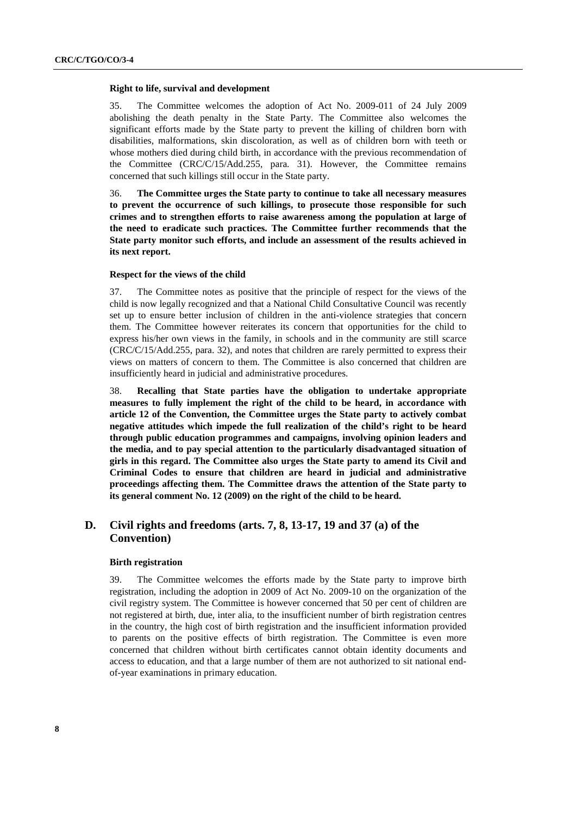#### **Right to life, survival and development**

35. The Committee welcomes the adoption of Act No. 2009-011 of 24 July 2009 abolishing the death penalty in the State Party. The Committee also welcomes the significant efforts made by the State party to prevent the killing of children born with disabilities, malformations, skin discoloration, as well as of children born with teeth or whose mothers died during child birth, in accordance with the previous recommendation of the Committee (CRC/C/15/Add.255, para. 31). However, the Committee remains concerned that such killings still occur in the State party.

36. **The Committee urges the State party to continue to take all necessary measures to prevent the occurrence of such killings, to prosecute those responsible for such crimes and to strengthen efforts to raise awareness among the population at large of the need to eradicate such practices. The Committee further recommends that the State party monitor such efforts, and include an assessment of the results achieved in its next report.** 

#### **Respect for the views of the child**

37. The Committee notes as positive that the principle of respect for the views of the child is now legally recognized and that a National Child Consultative Council was recently set up to ensure better inclusion of children in the anti-violence strategies that concern them. The Committee however reiterates its concern that opportunities for the child to express his/her own views in the family, in schools and in the community are still scarce (CRC/C/15/Add.255, para. 32), and notes that children are rarely permitted to express their views on matters of concern to them. The Committee is also concerned that children are insufficiently heard in judicial and administrative procedures.

38. **Recalling that State parties have the obligation to undertake appropriate measures to fully implement the right of the child to be heard, in accordance with article 12 of the Convention, the Committee urges the State party to actively combat negative attitudes which impede the full realization of the child's right to be heard through public education programmes and campaigns, involving opinion leaders and the media, and to pay special attention to the particularly disadvantaged situation of girls in this regard. The Committee also urges the State party to amend its Civil and Criminal Codes to ensure that children are heard in judicial and administrative proceedings affecting them. The Committee draws the attention of the State party to its general comment No. 12 (2009) on the right of the child to be heard.**

# **D. Civil rights and freedoms (arts. 7, 8, 13-17, 19 and 37 (a) of the Convention)**

#### **Birth registration**

39. The Committee welcomes the efforts made by the State party to improve birth registration, including the adoption in 2009 of Act No. 2009-10 on the organization of the civil registry system. The Committee is however concerned that 50 per cent of children are not registered at birth, due, inter alia, to the insufficient number of birth registration centres in the country, the high cost of birth registration and the insufficient information provided to parents on the positive effects of birth registration. The Committee is even more concerned that children without birth certificates cannot obtain identity documents and access to education, and that a large number of them are not authorized to sit national endof-year examinations in primary education.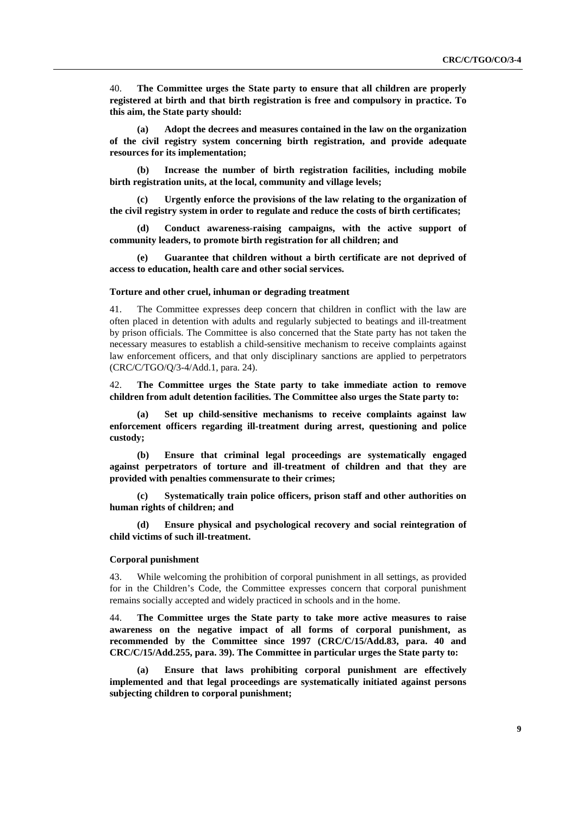40. **The Committee urges the State party to ensure that all children are properly registered at birth and that birth registration is free and compulsory in practice. To this aim, the State party should:**

**(a) Adopt the decrees and measures contained in the law on the organization of the civil registry system concerning birth registration, and provide adequate resources for its implementation;** 

**(b) Increase the number of birth registration facilities, including mobile birth registration units, at the local, community and village levels;** 

**(c) Urgently enforce the provisions of the law relating to the organization of the civil registry system in order to regulate and reduce the costs of birth certificates;** 

**(d) Conduct awareness-raising campaigns, with the active support of community leaders, to promote birth registration for all children; and** 

**(e) Guarantee that children without a birth certificate are not deprived of access to education, health care and other social services.** 

## **Torture and other cruel, inhuman or degrading treatment**

41. The Committee expresses deep concern that children in conflict with the law are often placed in detention with adults and regularly subjected to beatings and ill-treatment by prison officials. The Committee is also concerned that the State party has not taken the necessary measures to establish a child-sensitive mechanism to receive complaints against law enforcement officers, and that only disciplinary sanctions are applied to perpetrators (CRC/C/TGO/Q/3-4/Add.1, para. 24).

42. **The Committee urges the State party to take immediate action to remove children from adult detention facilities. The Committee also urges the State party to:** 

**(a) Set up child-sensitive mechanisms to receive complaints against law enforcement officers regarding ill-treatment during arrest, questioning and police custody;** 

**(b) Ensure that criminal legal proceedings are systematically engaged against perpetrators of torture and ill-treatment of children and that they are provided with penalties commensurate to their crimes;** 

**(c) Systematically train police officers, prison staff and other authorities on human rights of children; and** 

**(d) Ensure physical and psychological recovery and social reintegration of child victims of such ill-treatment.** 

#### **Corporal punishment**

43. While welcoming the prohibition of corporal punishment in all settings, as provided for in the Children's Code, the Committee expresses concern that corporal punishment remains socially accepted and widely practiced in schools and in the home.

44. **The Committee urges the State party to take more active measures to raise awareness on the negative impact of all forms of corporal punishment, as recommended by the Committee since 1997 (CRC/C/15/Add.83, para. 40 and CRC/C/15/Add.255, para. 39). The Committee in particular urges the State party to:**

**(a) Ensure that laws prohibiting corporal punishment are effectively implemented and that legal proceedings are systematically initiated against persons subjecting children to corporal punishment;**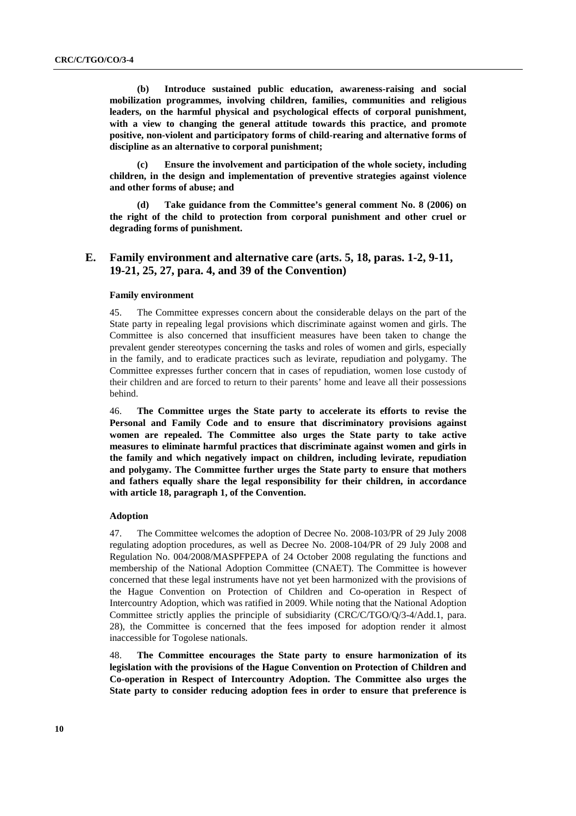**(b) Introduce sustained public education, awareness-raising and social mobilization programmes, involving children, families, communities and religious leaders, on the harmful physical and psychological effects of corporal punishment, with a view to changing the general attitude towards this practice, and promote positive, non-violent and participatory forms of child-rearing and alternative forms of discipline as an alternative to corporal punishment;** 

**(c) Ensure the involvement and participation of the whole society, including children, in the design and implementation of preventive strategies against violence and other forms of abuse; and** 

**(d) Take guidance from the Committee's general comment No. 8 (2006) on the right of the child to protection from corporal punishment and other cruel or degrading forms of punishment.** 

# **E. Family environment and alternative care (arts. 5, 18, paras. 1-2, 9-11, 19-21, 25, 27, para. 4, and 39 of the Convention)**

## **Family environment**

45. The Committee expresses concern about the considerable delays on the part of the State party in repealing legal provisions which discriminate against women and girls. The Committee is also concerned that insufficient measures have been taken to change the prevalent gender stereotypes concerning the tasks and roles of women and girls, especially in the family, and to eradicate practices such as levirate, repudiation and polygamy. The Committee expresses further concern that in cases of repudiation, women lose custody of their children and are forced to return to their parents' home and leave all their possessions behind.

46. **The Committee urges the State party to accelerate its efforts to revise the Personal and Family Code and to ensure that discriminatory provisions against women are repealed. The Committee also urges the State party to take active measures to eliminate harmful practices that discriminate against women and girls in the family and which negatively impact on children, including levirate, repudiation and polygamy. The Committee further urges the State party to ensure that mothers and fathers equally share the legal responsibility for their children, in accordance with article 18, paragraph 1, of the Convention.** 

#### **Adoption**

47. The Committee welcomes the adoption of Decree No. 2008-103/PR of 29 July 2008 regulating adoption procedures, as well as Decree No. 2008-104/PR of 29 July 2008 and Regulation No. 004/2008/MASPFPEPA of 24 October 2008 regulating the functions and membership of the National Adoption Committee (CNAET). The Committee is however concerned that these legal instruments have not yet been harmonized with the provisions of the Hague Convention on Protection of Children and Co-operation in Respect of Intercountry Adoption, which was ratified in 2009. While noting that the National Adoption Committee strictly applies the principle of subsidiarity (CRC/C/TGO/Q/3-4/Add.1, para. 28), the Committee is concerned that the fees imposed for adoption render it almost inaccessible for Togolese nationals.

48. **The Committee encourages the State party to ensure harmonization of its legislation with the provisions of the Hague Convention on Protection of Children and Co-operation in Respect of Intercountry Adoption. The Committee also urges the State party to consider reducing adoption fees in order to ensure that preference is**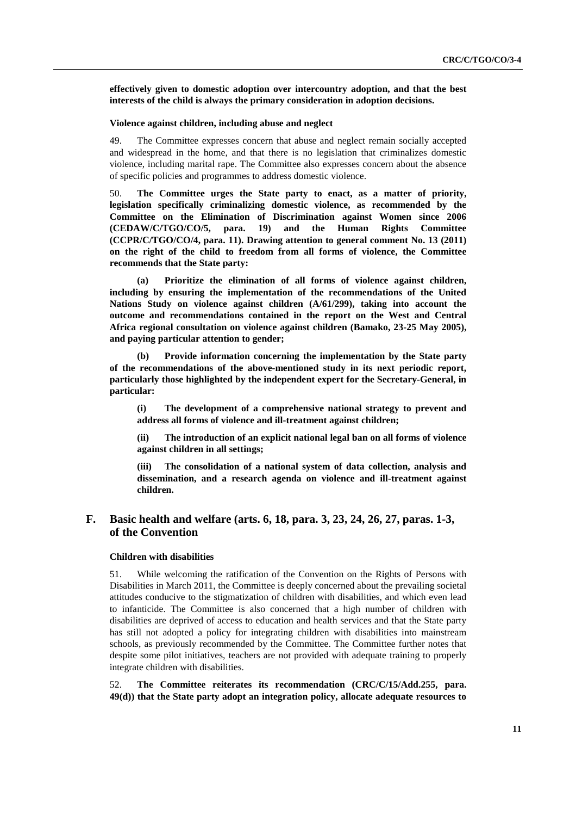**effectively given to domestic adoption over intercountry adoption, and that the best interests of the child is always the primary consideration in adoption decisions.** 

## **Violence against children, including abuse and neglect**

49. The Committee expresses concern that abuse and neglect remain socially accepted and widespread in the home, and that there is no legislation that criminalizes domestic violence, including marital rape. The Committee also expresses concern about the absence of specific policies and programmes to address domestic violence.

50. **The Committee urges the State party to enact, as a matter of priority, legislation specifically criminalizing domestic violence, as recommended by the Committee on the Elimination of Discrimination against Women since 2006 (CEDAW/C/TGO/CO/5, para. 19) and the Human Rights Committee (CCPR/C/TGO/CO/4, para. 11). Drawing attention to general comment No. 13 (2011) on the right of the child to freedom from all forms of violence, the Committee recommends that the State party:** 

**(a) Prioritize the elimination of all forms of violence against children, including by ensuring the implementation of the recommendations of the United Nations Study on violence against children (A/61/299), taking into account the outcome and recommendations contained in the report on the West and Central Africa regional consultation on violence against children (Bamako, 23-25 May 2005), and paying particular attention to gender;** 

**(b) Provide information concerning the implementation by the State party of the recommendations of the above-mentioned study in its next periodic report, particularly those highlighted by the independent expert for the Secretary-General, in particular:** 

**(i) The development of a comprehensive national strategy to prevent and address all forms of violence and ill-treatment against children;** 

**(ii) The introduction of an explicit national legal ban on all forms of violence against children in all settings;** 

**(iii) The consolidation of a national system of data collection, analysis and dissemination, and a research agenda on violence and ill-treatment against children.** 

# **F. Basic health and welfare (arts. 6, 18, para. 3, 23, 24, 26, 27, paras. 1-3, of the Convention**

## **Children with disabilities**

51. While welcoming the ratification of the Convention on the Rights of Persons with Disabilities in March 2011, the Committee is deeply concerned about the prevailing societal attitudes conducive to the stigmatization of children with disabilities, and which even lead to infanticide. The Committee is also concerned that a high number of children with disabilities are deprived of access to education and health services and that the State party has still not adopted a policy for integrating children with disabilities into mainstream schools, as previously recommended by the Committee. The Committee further notes that despite some pilot initiatives, teachers are not provided with adequate training to properly integrate children with disabilities.

52. **The Committee reiterates its recommendation (CRC/C/15/Add.255, para. 49(d)) that the State party adopt an integration policy, allocate adequate resources to**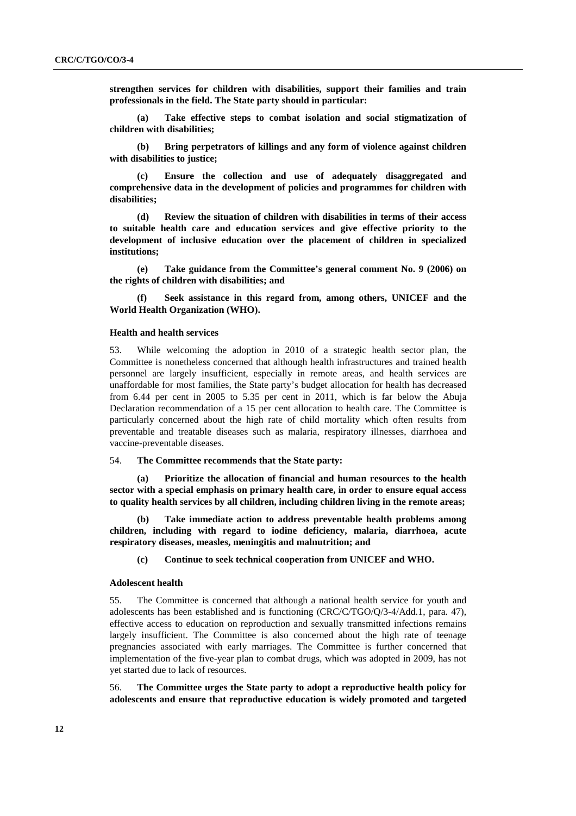**strengthen services for children with disabilities, support their families and train professionals in the field. The State party should in particular:** 

**(a) Take effective steps to combat isolation and social stigmatization of children with disabilities;** 

**(b) Bring perpetrators of killings and any form of violence against children with disabilities to justice;** 

**(c) Ensure the collection and use of adequately disaggregated and comprehensive data in the development of policies and programmes for children with disabilities;** 

**(d) Review the situation of children with disabilities in terms of their access to suitable health care and education services and give effective priority to the development of inclusive education over the placement of children in specialized institutions;** 

**(e) Take guidance from the Committee's general comment No. 9 (2006) on the rights of children with disabilities; and** 

**(f) Seek assistance in this regard from, among others, UNICEF and the World Health Organization (WHO).** 

#### **Health and health services**

53. While welcoming the adoption in 2010 of a strategic health sector plan, the Committee is nonetheless concerned that although health infrastructures and trained health personnel are largely insufficient, especially in remote areas, and health services are unaffordable for most families, the State party's budget allocation for health has decreased from 6.44 per cent in 2005 to 5.35 per cent in 2011, which is far below the Abuja Declaration recommendation of a 15 per cent allocation to health care. The Committee is particularly concerned about the high rate of child mortality which often results from preventable and treatable diseases such as malaria, respiratory illnesses, diarrhoea and vaccine-preventable diseases.

54. **The Committee recommends that the State party:** 

**(a) Prioritize the allocation of financial and human resources to the health sector with a special emphasis on primary health care, in order to ensure equal access to quality health services by all children, including children living in the remote areas;** 

**(b) Take immediate action to address preventable health problems among children, including with regard to iodine deficiency, malaria, diarrhoea, acute respiratory diseases, measles, meningitis and malnutrition; and** 

**(c) Continue to seek technical cooperation from UNICEF and WHO.** 

#### **Adolescent health**

55. The Committee is concerned that although a national health service for youth and adolescents has been established and is functioning (CRC/C/TGO/Q/3-4/Add.1, para. 47), effective access to education on reproduction and sexually transmitted infections remains largely insufficient. The Committee is also concerned about the high rate of teenage pregnancies associated with early marriages. The Committee is further concerned that implementation of the five-year plan to combat drugs, which was adopted in 2009, has not yet started due to lack of resources.

56. **The Committee urges the State party to adopt a reproductive health policy for adolescents and ensure that reproductive education is widely promoted and targeted**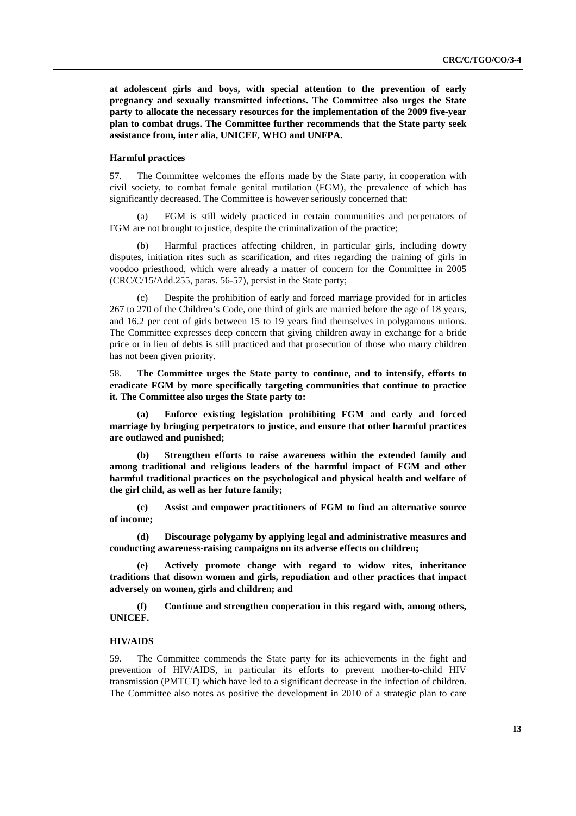**at adolescent girls and boys, with special attention to the prevention of early pregnancy and sexually transmitted infections. The Committee also urges the State party to allocate the necessary resources for the implementation of the 2009 five-year plan to combat drugs. The Committee further recommends that the State party seek assistance from, inter alia, UNICEF, WHO and UNFPA.**

## **Harmful practices**

57. The Committee welcomes the efforts made by the State party, in cooperation with civil society, to combat female genital mutilation (FGM), the prevalence of which has significantly decreased. The Committee is however seriously concerned that:

(a) FGM is still widely practiced in certain communities and perpetrators of FGM are not brought to justice, despite the criminalization of the practice;

(b) Harmful practices affecting children, in particular girls, including dowry disputes, initiation rites such as scarification, and rites regarding the training of girls in voodoo priesthood, which were already a matter of concern for the Committee in 2005 (CRC/C/15/Add.255, paras. 56-57), persist in the State party;

(c) Despite the prohibition of early and forced marriage provided for in articles 267 to 270 of the Children's Code, one third of girls are married before the age of 18 years, and 16.2 per cent of girls between 15 to 19 years find themselves in polygamous unions. The Committee expresses deep concern that giving children away in exchange for a bride price or in lieu of debts is still practiced and that prosecution of those who marry children has not been given priority.

58. **The Committee urges the State party to continue, and to intensify, efforts to eradicate FGM by more specifically targeting communities that continue to practice it. The Committee also urges the State party to:**

(**a) Enforce existing legislation prohibiting FGM and early and forced marriage by bringing perpetrators to justice, and ensure that other harmful practices are outlawed and punished;** 

**(b) Strengthen efforts to raise awareness within the extended family and among traditional and religious leaders of the harmful impact of FGM and other harmful traditional practices on the psychological and physical health and welfare of the girl child, as well as her future family;** 

**(c) Assist and empower practitioners of FGM to find an alternative source of income;** 

**(d) Discourage polygamy by applying legal and administrative measures and conducting awareness-raising campaigns on its adverse effects on children;** 

**(e) Actively promote change with regard to widow rites, inheritance traditions that disown women and girls, repudiation and other practices that impact adversely on women, girls and children; and** 

**(f) Continue and strengthen cooperation in this regard with, among others, UNICEF.** 

## **HIV/AIDS**

59. The Committee commends the State party for its achievements in the fight and prevention of HIV/AIDS, in particular its efforts to prevent mother-to-child HIV transmission (PMTCT) which have led to a significant decrease in the infection of children. The Committee also notes as positive the development in 2010 of a strategic plan to care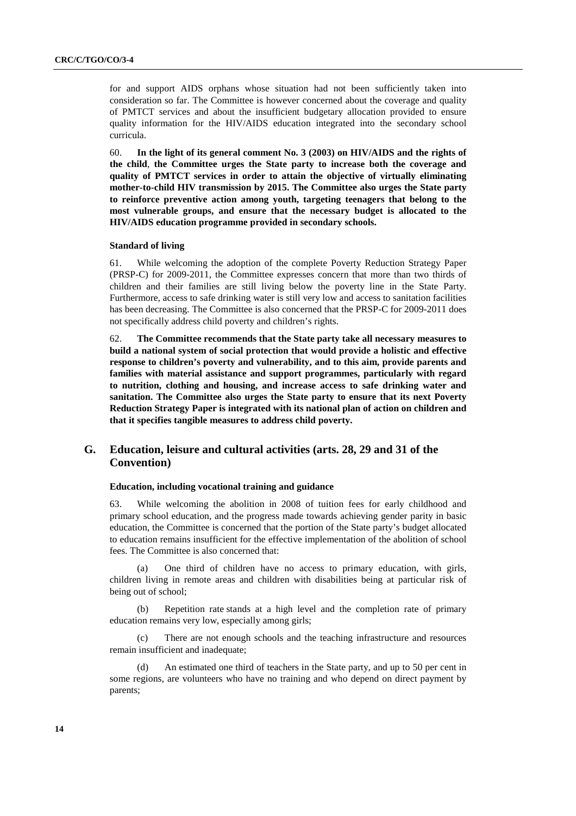for and support AIDS orphans whose situation had not been sufficiently taken into consideration so far. The Committee is however concerned about the coverage and quality of PMTCT services and about the insufficient budgetary allocation provided to ensure quality information for the HIV/AIDS education integrated into the secondary school curricula.

60. **In the light of its general comment No. 3 (2003) on HIV/AIDS and the rights of the child**, **the Committee urges the State party to increase both the coverage and quality of PMTCT services in order to attain the objective of virtually eliminating mother-to-child HIV transmission by 2015. The Committee also urges the State party to reinforce preventive action among youth, targeting teenagers that belong to the most vulnerable groups, and ensure that the necessary budget is allocated to the HIV/AIDS education programme provided in secondary schools.**

### **Standard of living**

61. While welcoming the adoption of the complete Poverty Reduction Strategy Paper (PRSP-C) for 2009-2011, the Committee expresses concern that more than two thirds of children and their families are still living below the poverty line in the State Party. Furthermore, access to safe drinking water is still very low and access to sanitation facilities has been decreasing. The Committee is also concerned that the PRSP-C for 2009-2011 does not specifically address child poverty and children's rights.

62. **The Committee recommends that the State party take all necessary measures to build a national system of social protection that would provide a holistic and effective response to children's poverty and vulnerability, and to this aim, provide parents and families with material assistance and support programmes, particularly with regard to nutrition, clothing and housing, and increase access to safe drinking water and sanitation. The Committee also urges the State party to ensure that its next Poverty Reduction Strategy Paper is integrated with its national plan of action on children and that it specifies tangible measures to address child poverty.**

# **G. Education, leisure and cultural activities (arts. 28, 29 and 31 of the Convention)**

## **Education, including vocational training and guidance**

63. While welcoming the abolition in 2008 of tuition fees for early childhood and primary school education, and the progress made towards achieving gender parity in basic education, the Committee is concerned that the portion of the State party's budget allocated to education remains insufficient for the effective implementation of the abolition of school fees. The Committee is also concerned that:

(a) One third of children have no access to primary education, with girls, children living in remote areas and children with disabilities being at particular risk of being out of school;

Repetition rate stands at a high level and the completion rate of primary education remains very low, especially among girls;

(c) There are not enough schools and the teaching infrastructure and resources remain insufficient and inadequate;

(d) An estimated one third of teachers in the State party, and up to 50 per cent in some regions, are volunteers who have no training and who depend on direct payment by parents;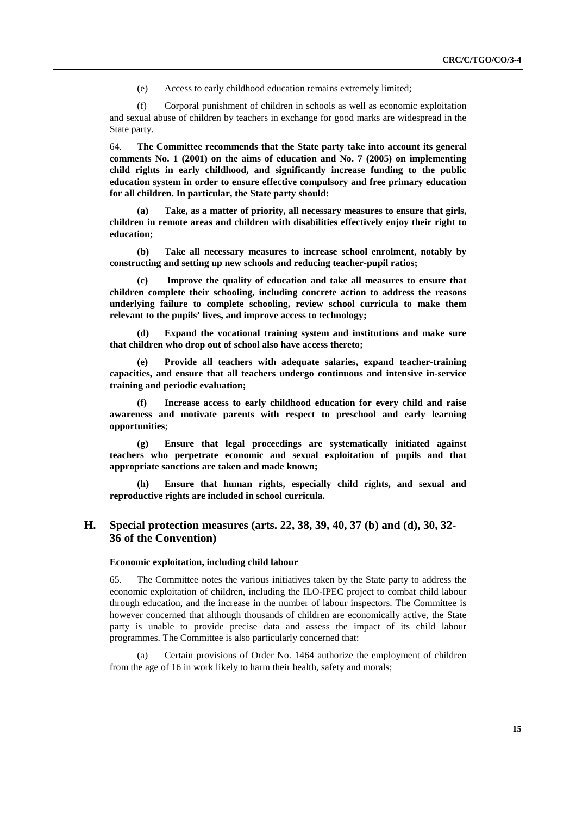(e) Access to early childhood education remains extremely limited;

(f) Corporal punishment of children in schools as well as economic exploitation and sexual abuse of children by teachers in exchange for good marks are widespread in the State party.

64. **The Committee recommends that the State party take into account its general comments No. 1 (2001) on the aims of education and No. 7 (2005) on implementing child rights in early childhood, and significantly increase funding to the public education system in order to ensure effective compulsory and free primary education for all children. In particular, the State party should:** 

**(a) Take, as a matter of priority, all necessary measures to ensure that girls, children in remote areas and children with disabilities effectively enjoy their right to education;** 

**(b) Take all necessary measures to increase school enrolment, notably by constructing and setting up new schools and reducing teacher-pupil ratios;** 

**(c) Improve the quality of education and take all measures to ensure that children complete their schooling, including concrete action to address the reasons underlying failure to complete schooling, review school curricula to make them relevant to the pupils' lives, and improve access to technology;** 

**(d) Expand the vocational training system and institutions and make sure that children who drop out of school also have access thereto;** 

**(e) Provide all teachers with adequate salaries, expand teacher-training capacities, and ensure that all teachers undergo continuous and intensive in-service training and periodic evaluation;** 

**(f) Increase access to early childhood education for every child and raise awareness and motivate parents with respect to preschool and early learning opportunities;**

**(g) Ensure that legal proceedings are systematically initiated against teachers who perpetrate economic and sexual exploitation of pupils and that appropriate sanctions are taken and made known;** 

**(h) Ensure that human rights, especially child rights, and sexual and reproductive rights are included in school curricula.** 

# **H. Special protection measures (arts. 22, 38, 39, 40, 37 (b) and (d), 30, 32- 36 of the Convention)**

#### **Economic exploitation, including child labour**

65. The Committee notes the various initiatives taken by the State party to address the economic exploitation of children, including the ILO-IPEC project to combat child labour through education, and the increase in the number of labour inspectors. The Committee is however concerned that although thousands of children are economically active, the State party is unable to provide precise data and assess the impact of its child labour programmes. The Committee is also particularly concerned that:

(a) Certain provisions of Order No. 1464 authorize the employment of children from the age of 16 in work likely to harm their health, safety and morals;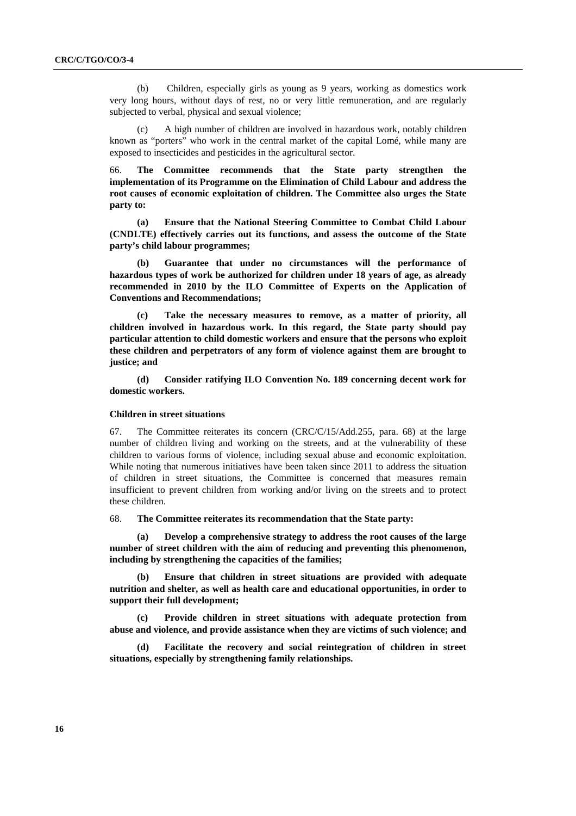(b) Children, especially girls as young as 9 years, working as domestics work very long hours, without days of rest, no or very little remuneration, and are regularly subjected to verbal, physical and sexual violence;

A high number of children are involved in hazardous work, notably children known as "porters" who work in the central market of the capital Lomé, while many are exposed to insecticides and pesticides in the agricultural sector.

66. **The Committee recommends that the State party strengthen the implementation of its Programme on the Elimination of Child Labour and address the root causes of economic exploitation of children. The Committee also urges the State party to:** 

**(a) Ensure that the National Steering Committee to Combat Child Labour (CNDLTE) effectively carries out its functions, and assess the outcome of the State party's child labour programmes;** 

**(b) Guarantee that under no circumstances will the performance of hazardous types of work be authorized for children under 18 years of age, as already recommended in 2010 by the ILO Committee of Experts on the Application of Conventions and Recommendations;** 

**(c) Take the necessary measures to remove, as a matter of priority, all children involved in hazardous work. In this regard, the State party should pay particular attention to child domestic workers and ensure that the persons who exploit these children and perpetrators of any form of violence against them are brought to justice; and** 

**(d) Consider ratifying ILO Convention No. 189 concerning decent work for domestic workers.** 

#### **Children in street situations**

67. The Committee reiterates its concern  $(CRC/C/15/Add.255$ , para. 68) at the large number of children living and working on the streets, and at the vulnerability of these children to various forms of violence, including sexual abuse and economic exploitation. While noting that numerous initiatives have been taken since 2011 to address the situation of children in street situations, the Committee is concerned that measures remain insufficient to prevent children from working and/or living on the streets and to protect these children.

68. **The Committee reiterates its recommendation that the State party:** 

**(a) Develop a comprehensive strategy to address the root causes of the large number of street children with the aim of reducing and preventing this phenomenon, including by strengthening the capacities of the families;** 

**(b) Ensure that children in street situations are provided with adequate nutrition and shelter, as well as health care and educational opportunities, in order to support their full development;** 

**(c) Provide children in street situations with adequate protection from abuse and violence, and provide assistance when they are victims of such violence; and** 

**(d) Facilitate the recovery and social reintegration of children in street situations, especially by strengthening family relationships.**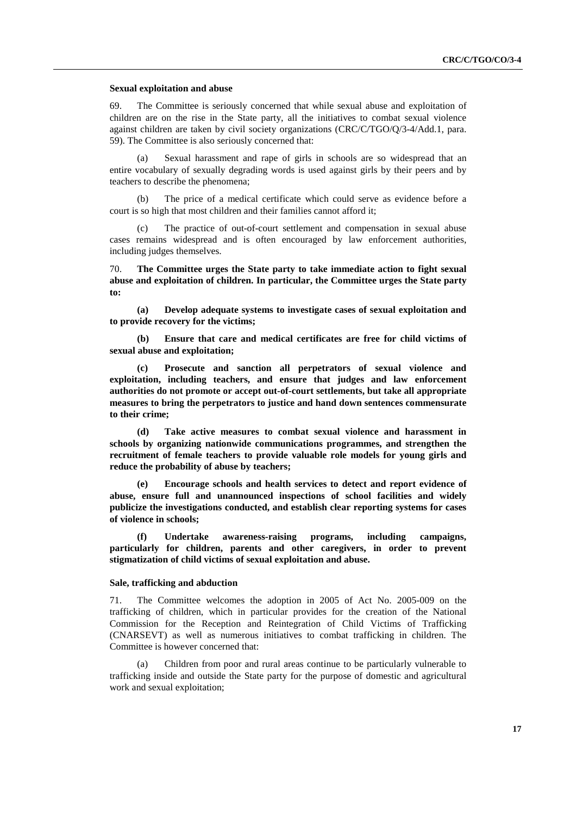#### **Sexual exploitation and abuse**

69. The Committee is seriously concerned that while sexual abuse and exploitation of children are on the rise in the State party, all the initiatives to combat sexual violence against children are taken by civil society organizations (CRC/C/TGO/Q/3-4/Add.1, para. 59). The Committee is also seriously concerned that:

(a) Sexual harassment and rape of girls in schools are so widespread that an entire vocabulary of sexually degrading words is used against girls by their peers and by teachers to describe the phenomena;

(b) The price of a medical certificate which could serve as evidence before a court is so high that most children and their families cannot afford it;

The practice of out-of-court settlement and compensation in sexual abuse cases remains widespread and is often encouraged by law enforcement authorities, including judges themselves.

70. **The Committee urges the State party to take immediate action to fight sexual abuse and exploitation of children. In particular, the Committee urges the State party to:** 

**(a) Develop adequate systems to investigate cases of sexual exploitation and to provide recovery for the victims;** 

**(b) Ensure that care and medical certificates are free for child victims of sexual abuse and exploitation;** 

**(c) Prosecute and sanction all perpetrators of sexual violence and exploitation, including teachers, and ensure that judges and law enforcement authorities do not promote or accept out-of-court settlements, but take all appropriate measures to bring the perpetrators to justice and hand down sentences commensurate to their crime;** 

**(d) Take active measures to combat sexual violence and harassment in schools by organizing nationwide communications programmes, and strengthen the recruitment of female teachers to provide valuable role models for young girls and reduce the probability of abuse by teachers;** 

**(e) Encourage schools and health services to detect and report evidence of abuse, ensure full and unannounced inspections of school facilities and widely publicize the investigations conducted, and establish clear reporting systems for cases of violence in schools;** 

**(f) Undertake awareness-raising programs, including campaigns, particularly for children, parents and other caregivers, in order to prevent stigmatization of child victims of sexual exploitation and abuse.** 

## **Sale, trafficking and abduction**

71. The Committee welcomes the adoption in 2005 of Act No. 2005-009 on the trafficking of children, which in particular provides for the creation of the National Commission for the Reception and Reintegration of Child Victims of Trafficking (CNARSEVT) as well as numerous initiatives to combat trafficking in children. The Committee is however concerned that:

(a) Children from poor and rural areas continue to be particularly vulnerable to trafficking inside and outside the State party for the purpose of domestic and agricultural work and sexual exploitation;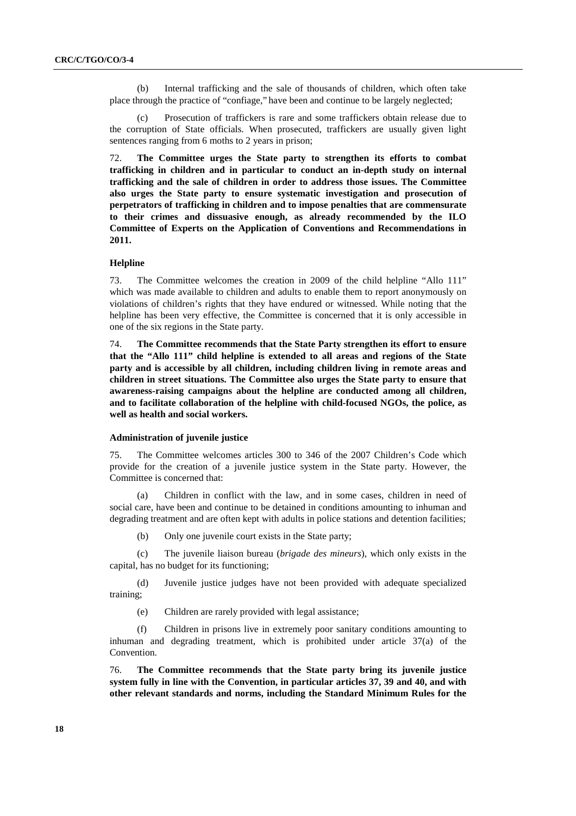(b) Internal trafficking and the sale of thousands of children, which often take place through the practice of "confiage," have been and continue to be largely neglected;

(c) Prosecution of traffickers is rare and some traffickers obtain release due to the corruption of State officials. When prosecuted, traffickers are usually given light sentences ranging from 6 moths to 2 years in prison;

72. **The Committee urges the State party to strengthen its efforts to combat trafficking in children and in particular to conduct an in-depth study on internal trafficking and the sale of children in order to address those issues. The Committee also urges the State party to ensure systematic investigation and prosecution of perpetrators of trafficking in children and to impose penalties that are commensurate to their crimes and dissuasive enough, as already recommended by the ILO Committee of Experts on the Application of Conventions and Recommendations in 2011.** 

### **Helpline**

73. The Committee welcomes the creation in 2009 of the child helpline "Allo 111" which was made available to children and adults to enable them to report anonymously on violations of children's rights that they have endured or witnessed. While noting that the helpline has been very effective, the Committee is concerned that it is only accessible in one of the six regions in the State party.

74. **The Committee recommends that the State Party strengthen its effort to ensure that the "Allo 111" child helpline is extended to all areas and regions of the State party and is accessible by all children, including children living in remote areas and children in street situations. The Committee also urges the State party to ensure that awareness-raising campaigns about the helpline are conducted among all children, and to facilitate collaboration of the helpline with child-focused NGOs, the police, as well as health and social workers.** 

#### **Administration of juvenile justice**

75. The Committee welcomes articles 300 to 346 of the 2007 Children's Code which provide for the creation of a juvenile justice system in the State party. However, the Committee is concerned that:

(a) Children in conflict with the law, and in some cases, children in need of social care, have been and continue to be detained in conditions amounting to inhuman and degrading treatment and are often kept with adults in police stations and detention facilities;

(b) Only one juvenile court exists in the State party;

(c) The juvenile liaison bureau (*brigade des mineurs*), which only exists in the capital, has no budget for its functioning;

(d) Juvenile justice judges have not been provided with adequate specialized training;

(e) Children are rarely provided with legal assistance;

(f) Children in prisons live in extremely poor sanitary conditions amounting to inhuman and degrading treatment, which is prohibited under article  $37(a)$  of the Convention.

76. **The Committee recommends that the State party bring its juvenile justice system fully in line with the Convention, in particular articles 37, 39 and 40, and with other relevant standards and norms, including the Standard Minimum Rules for the**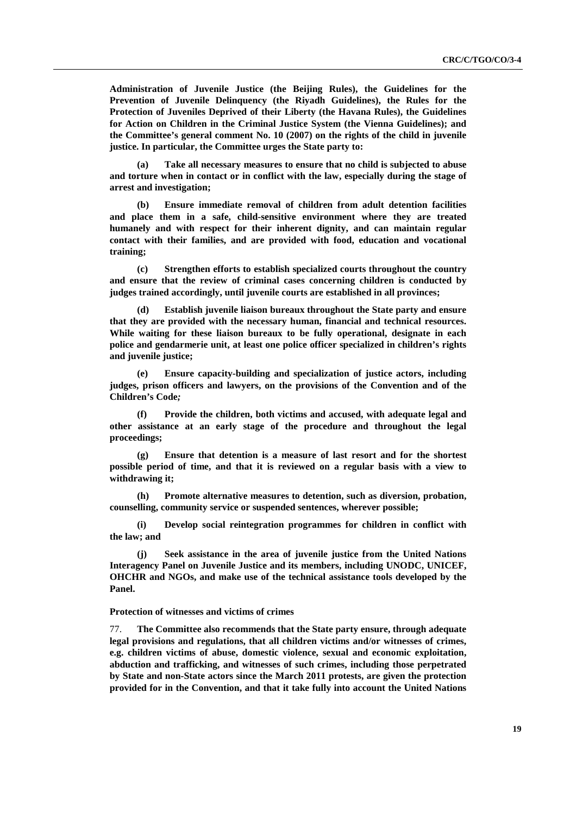**Administration of Juvenile Justice (the Beijing Rules), the Guidelines for the Prevention of Juvenile Delinquency (the Riyadh Guidelines), the Rules for the Protection of Juveniles Deprived of their Liberty (the Havana Rules), the Guidelines for Action on Children in the Criminal Justice System (the Vienna Guidelines); and the Committee's general comment No. 10 (2007) on the rights of the child in juvenile justice. In particular, the Committee urges the State party to:** 

**(a) Take all necessary measures to ensure that no child is subjected to abuse and torture when in contact or in conflict with the law, especially during the stage of arrest and investigation;** 

**(b) Ensure immediate removal of children from adult detention facilities and place them in a safe, child-sensitive environment where they are treated humanely and with respect for their inherent dignity, and can maintain regular contact with their families, and are provided with food, education and vocational training;** 

**(c) Strengthen efforts to establish specialized courts throughout the country and ensure that the review of criminal cases concerning children is conducted by judges trained accordingly, until juvenile courts are established in all provinces;** 

**(d) Establish juvenile liaison bureaux throughout the State party and ensure that they are provided with the necessary human, financial and technical resources. While waiting for these liaison bureaux to be fully operational, designate in each police and gendarmerie unit, at least one police officer specialized in children's rights and juvenile justice;** 

**(e) Ensure capacity-building and specialization of justice actors, including judges, prison officers and lawyers, on the provisions of the Convention and of the Children's Code***;*

**(f) Provide the children, both victims and accused, with adequate legal and other assistance at an early stage of the procedure and throughout the legal proceedings;** 

**(g) Ensure that detention is a measure of last resort and for the shortest possible period of time, and that it is reviewed on a regular basis with a view to withdrawing it;** 

**(h) Promote alternative measures to detention, such as diversion, probation, counselling, community service or suspended sentences, wherever possible;** 

**(i) Develop social reintegration programmes for children in conflict with the law; and** 

**(j) Seek assistance in the area of juvenile justice from the United Nations Interagency Panel on Juvenile Justice and its members, including UNODC, UNICEF, OHCHR and NGOs, and make use of the technical assistance tools developed by the Panel.** 

#### **Protection of witnesses and victims of crimes**

77. **The Committee also recommends that the State party ensure, through adequate legal provisions and regulations, that all children victims and/or witnesses of crimes, e.g. children victims of abuse, domestic violence, sexual and economic exploitation, abduction and trafficking, and witnesses of such crimes, including those perpetrated by State and non-State actors since the March 2011 protests, are given the protection provided for in the Convention, and that it take fully into account the United Nations**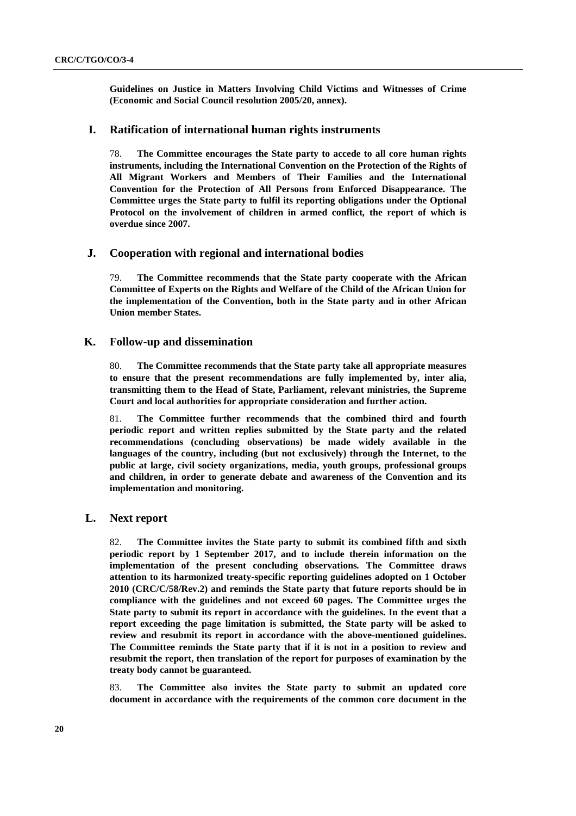**Guidelines on Justice in Matters Involving Child Victims and Witnesses of Crime (Economic and Social Council resolution 2005/20, annex).**

## **I. Ratification of international human rights instruments**

78. **The Committee encourages the State party to accede to all core human rights instruments, including the International Convention on the Protection of the Rights of All Migrant Workers and Members of Their Families and the International Convention for the Protection of All Persons from Enforced Disappearance. The Committee urges the State party to fulfil its reporting obligations under the Optional Protocol on the involvement of children in armed conflict***,* **the report of which is overdue since 2007.** 

## **J. Cooperation with regional and international bodies**

79. **The Committee recommends that the State party cooperate with the African Committee of Experts on the Rights and Welfare of the Child of the African Union for the implementation of the Convention, both in the State party and in other African Union member States.** 

## **K. Follow-up and dissemination**

80. **The Committee recommends that the State party take all appropriate measures to ensure that the present recommendations are fully implemented by, inter alia, transmitting them to the Head of State, Parliament, relevant ministries, the Supreme Court and local authorities for appropriate consideration and further action.** 

81. **The Committee further recommends that the combined third and fourth periodic report and written replies submitted by the State party and the related recommendations (concluding observations) be made widely available in the languages of the country, including (but not exclusively) through the Internet, to the public at large, civil society organizations, media, youth groups, professional groups and children, in order to generate debate and awareness of the Convention and its implementation and monitoring.** 

# **L. Next report**

82. **The Committee invites the State party to submit its combined fifth and sixth periodic report by 1 September 2017, and to include therein information on the implementation of the present concluding observations***.* **The Committee draws attention to its harmonized treaty-specific reporting guidelines adopted on 1 October 2010 (CRC/C/58/Rev.2) and reminds the State party that future reports should be in compliance with the guidelines and not exceed 60 pages. The Committee urges the State party to submit its report in accordance with the guidelines. In the event that a report exceeding the page limitation is submitted, the State party will be asked to review and resubmit its report in accordance with the above-mentioned guidelines. The Committee reminds the State party that if it is not in a position to review and resubmit the report, then translation of the report for purposes of examination by the treaty body cannot be guaranteed.** 

83. **The Committee also invites the State party to submit an updated core document in accordance with the requirements of the common core document in the**